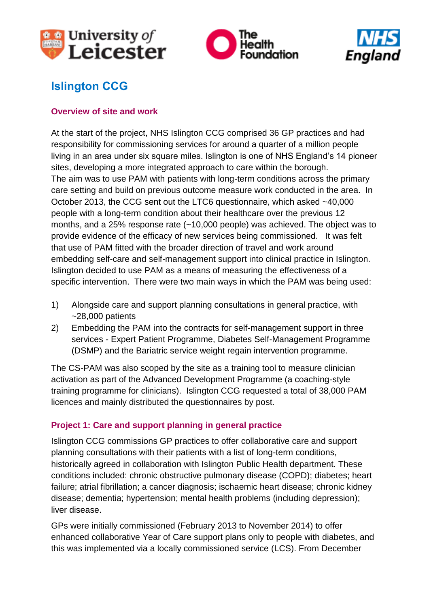





# **Islington CCG**

#### **Overview of site and work**

At the start of the project, NHS Islington CCG comprised 36 GP practices and had responsibility for commissioning services for around a quarter of a million people living in an area under six square miles. Islington is one of NHS England's 14 pioneer sites, developing a more integrated approach to care within the borough. The aim was to use PAM with patients with long-term conditions across the primary care setting and build on previous outcome measure work conducted in the area. In October 2013, the CCG sent out the LTC6 questionnaire, which asked ~40,000 people with a long-term condition about their healthcare over the previous 12 months, and a 25% response rate (~10,000 people) was achieved. The object was to provide evidence of the efficacy of new services being commissioned. It was felt that use of PAM fitted with the broader direction of travel and work around embedding self-care and self-management support into clinical practice in Islington. Islington decided to use PAM as a means of measuring the effectiveness of a specific intervention. There were two main ways in which the PAM was being used:

- 1) Alongside care and support planning consultations in general practice, with  $~28,000$  patients
- 2) Embedding the PAM into the contracts for self-management support in three services - Expert Patient Programme, Diabetes Self-Management Programme (DSMP) and the Bariatric service weight regain intervention programme.

The CS-PAM was also scoped by the site as a training tool to measure clinician activation as part of the Advanced Development Programme (a coaching-style training programme for clinicians). Islington CCG requested a total of 38,000 PAM licences and mainly distributed the questionnaires by post.

#### **Project 1: Care and support planning in general practice**

Islington CCG commissions GP practices to offer collaborative care and support planning consultations with their patients with a list of long-term conditions, historically agreed in collaboration with Islington Public Health department. These conditions included: chronic obstructive pulmonary disease (COPD); diabetes; heart failure; atrial fibrillation; a cancer diagnosis; ischaemic heart disease; chronic kidney disease; dementia; hypertension; mental health problems (including depression); liver disease.

GPs were initially commissioned (February 2013 to November 2014) to offer enhanced collaborative Year of Care support plans only to people with diabetes, and this was implemented via a locally commissioned service (LCS). From December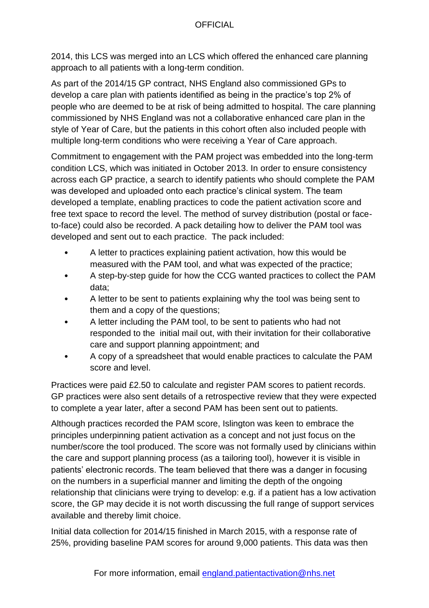2014, this LCS was merged into an LCS which offered the enhanced care planning approach to all patients with a long-term condition.

As part of the 2014/15 GP contract, NHS England also commissioned GPs to develop a care plan with patients identified as being in the practice's top 2% of people who are deemed to be at risk of being admitted to hospital. The care planning commissioned by NHS England was not a collaborative enhanced care plan in the style of Year of Care, but the patients in this cohort often also included people with multiple long-term conditions who were receiving a Year of Care approach.

Commitment to engagement with the PAM project was embedded into the long-term condition LCS, which was initiated in October 2013. In order to ensure consistency across each GP practice, a search to identify patients who should complete the PAM was developed and uploaded onto each practice's clinical system. The team developed a template, enabling practices to code the patient activation score and free text space to record the level. The method of survey distribution (postal or faceto-face) could also be recorded. A pack detailing how to deliver the PAM tool was developed and sent out to each practice. The pack included:

- A letter to practices explaining patient activation, how this would be measured with the PAM tool, and what was expected of the practice;
- A step-by-step guide for how the CCG wanted practices to collect the PAM data;
- A letter to be sent to patients explaining why the tool was being sent to them and a copy of the questions;
- A letter including the PAM tool, to be sent to patients who had not responded to the initial mail out, with their invitation for their collaborative care and support planning appointment; and
- A copy of a spreadsheet that would enable practices to calculate the PAM score and level.

Practices were paid £2.50 to calculate and register PAM scores to patient records. GP practices were also sent details of a retrospective review that they were expected to complete a year later, after a second PAM has been sent out to patients.

Although practices recorded the PAM score, Islington was keen to embrace the principles underpinning patient activation as a concept and not just focus on the number/score the tool produced. The score was not formally used by clinicians within the care and support planning process (as a tailoring tool), however it is visible in patients' electronic records. The team believed that there was a danger in focusing on the numbers in a superficial manner and limiting the depth of the ongoing relationship that clinicians were trying to develop: e.g. if a patient has a low activation score, the GP may decide it is not worth discussing the full range of support services available and thereby limit choice.

Initial data collection for 2014/15 finished in March 2015, with a response rate of 25%, providing baseline PAM scores for around 9,000 patients. This data was then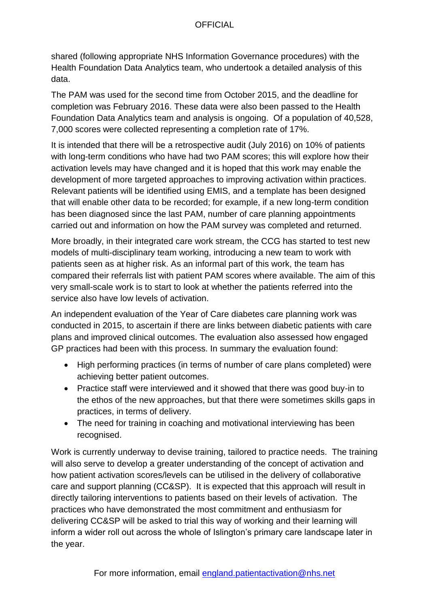### **OFFICIAL**

shared (following appropriate NHS Information Governance procedures) with the Health Foundation Data Analytics team, who undertook a detailed analysis of this data.

The PAM was used for the second time from October 2015, and the deadline for completion was February 2016. These data were also been passed to the Health Foundation Data Analytics team and analysis is ongoing. Of a population of 40,528, 7,000 scores were collected representing a completion rate of 17%.

It is intended that there will be a retrospective audit (July 2016) on 10% of patients with long-term conditions who have had two PAM scores; this will explore how their activation levels may have changed and it is hoped that this work may enable the development of more targeted approaches to improving activation within practices. Relevant patients will be identified using EMIS, and a template has been designed that will enable other data to be recorded; for example, if a new long-term condition has been diagnosed since the last PAM, number of care planning appointments carried out and information on how the PAM survey was completed and returned.

More broadly, in their integrated care work stream, the CCG has started to test new models of multi-disciplinary team working, introducing a new team to work with patients seen as at higher risk. As an informal part of this work, the team has compared their referrals list with patient PAM scores where available. The aim of this very small-scale work is to start to look at whether the patients referred into the service also have low levels of activation.

An independent evaluation of the Year of Care diabetes care planning work was conducted in 2015, to ascertain if there are links between diabetic patients with care plans and improved clinical outcomes. The evaluation also assessed how engaged GP practices had been with this process. In summary the evaluation found:

- High performing practices (in terms of number of care plans completed) were achieving better patient outcomes.
- Practice staff were interviewed and it showed that there was good buy-in to the ethos of the new approaches, but that there were sometimes skills gaps in practices, in terms of delivery.
- The need for training in coaching and motivational interviewing has been recognised.

Work is currently underway to devise training, tailored to practice needs. The training will also serve to develop a greater understanding of the concept of activation and how patient activation scores/levels can be utilised in the delivery of collaborative care and support planning (CC&SP). It is expected that this approach will result in directly tailoring interventions to patients based on their levels of activation. The practices who have demonstrated the most commitment and enthusiasm for delivering CC&SP will be asked to trial this way of working and their learning will inform a wider roll out across the whole of Islington's primary care landscape later in the year.